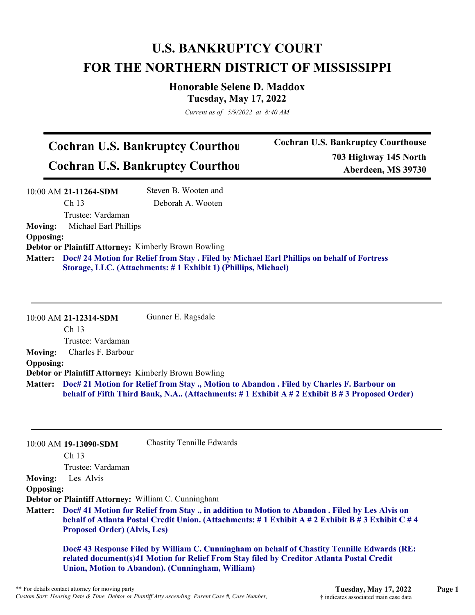# **U.S. BANKRUPTCY COURT FOR THE NORTHERN DISTRICT OF MISSISSIPPI**

**Honorable Selene D. Maddox Tuesday, May 17, 2022**

*Current as of 5/9/2022 at 8:40 AM*

## **Cochran U.S. Bankruptcy Courthou Cochran U.S. Bankruptcy Courthou**

**Cochran U.S. Bankruptcy Courthouse 703 Highway 145 North Aberdeen, MS 39730**

10:00 AM **21-11264-SDM**  Ch 13 Trustee: Vardaman Steven B. Wooten and Deborah A. Wooten **Moving:** Michael Earl Phillips **Opposing: Debtor or Plaintiff Attorney:** Kimberly Brown Bowling **Doc# 24 Motion for Relief from Stay . Filed by Michael Earl Phillips on behalf of Fortress Matter: Storage, LLC. (Attachments: # 1 Exhibit 1) (Phillips, Michael)**

10:00 AM **21-12314-SDM**  Ch 13 Trustee: Vardaman Gunner E. Ragsdale **Moving:** Charles F. Barbour **Opposing: Debtor or Plaintiff Attorney:** Kimberly Brown Bowling **Doc# 21 Motion for Relief from Stay ., Motion to Abandon . Filed by Charles F. Barbour on Matter: behalf of Fifth Third Bank, N.A.. (Attachments: # 1 Exhibit A # 2 Exhibit B # 3 Proposed Order)**

|                  | 10:00 AM 19-13090-SDM                                                                                                                                                                                                                           | <b>Chastity Tennille Edwards</b>                                                                                                                                                                                                             |  |
|------------------|-------------------------------------------------------------------------------------------------------------------------------------------------------------------------------------------------------------------------------------------------|----------------------------------------------------------------------------------------------------------------------------------------------------------------------------------------------------------------------------------------------|--|
|                  | Ch <sub>13</sub>                                                                                                                                                                                                                                |                                                                                                                                                                                                                                              |  |
|                  | Trustee: Vardaman                                                                                                                                                                                                                               |                                                                                                                                                                                                                                              |  |
| <b>Moving:</b>   | Les Alvis                                                                                                                                                                                                                                       |                                                                                                                                                                                                                                              |  |
| <b>Opposing:</b> |                                                                                                                                                                                                                                                 |                                                                                                                                                                                                                                              |  |
|                  |                                                                                                                                                                                                                                                 | <b>Debtor or Plaintiff Attorney: William C. Cunningham</b>                                                                                                                                                                                   |  |
|                  | Matter: Doc# 41 Motion for Relief from Stay., in addition to Motion to Abandon. Filed by Les Alvis on<br>behalf of Atlanta Postal Credit Union. (Attachments: #1 Exhibit A #2 Exhibit B #3 Exhibit C #4<br><b>Proposed Order</b> ) (Alvis, Les) |                                                                                                                                                                                                                                              |  |
|                  |                                                                                                                                                                                                                                                 | Doc# 43 Response Filed by William C. Cunningham on behalf of Chastity Tennille Edwards (RE:<br>related document(s)41 Motion for Relief From Stay filed by Creditor Atlanta Postal Credit<br>Union, Motion to Abandon). (Cunningham, William) |  |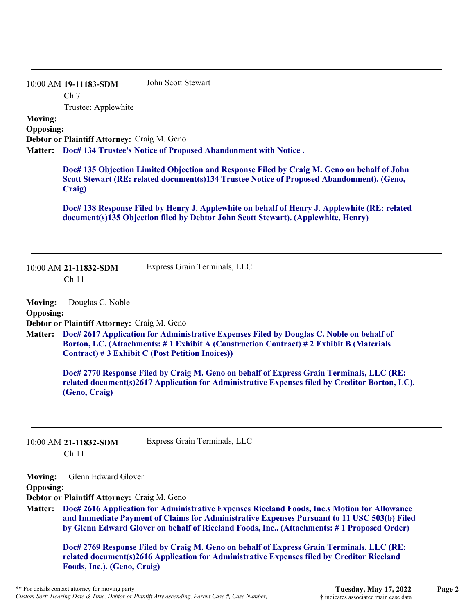#### 10:00 AM **19-11183-SDM**  John Scott Stewart

Ch 7

Trustee: Applewhite

**Moving:**

**Opposing:**

**Debtor or Plaintiff Attorney:** Craig M. Geno

**Doc# 134 Trustee's Notice of Proposed Abandonment with Notice . Matter:**

**Doc# 135 Objection Limited Objection and Response Filed by Craig M. Geno on behalf of John Scott Stewart (RE: related document(s)134 Trustee Notice of Proposed Abandonment). (Geno, Craig)**

**Doc# 138 Response Filed by Henry J. Applewhite on behalf of Henry J. Applewhite (RE: related document(s)135 Objection filed by Debtor John Scott Stewart). (Applewhite, Henry)**

10:00 AM **21-11832-SDM**  Ch 11 Express Grain Terminals, LLC

**Moving:** Douglas C. Noble **Opposing: Debtor or Plaintiff Attorney:** Craig M. Geno

**Doc# 2617 Application for Administrative Expenses Filed by Douglas C. Noble on behalf of Matter: Borton, LC. (Attachments: # 1 Exhibit A (Construction Contract) # 2 Exhibit B (Materials Contract) # 3 Exhibit C (Post Petition Inoices))**

**Doc# 2770 Response Filed by Craig M. Geno on behalf of Express Grain Terminals, LLC (RE: related document(s)2617 Application for Administrative Expenses filed by Creditor Borton, LC). (Geno, Craig)**

10:00 AM **21-11832-SDM**  Ch 11

Express Grain Terminals, LLC

**Moving:** Glenn Edward Glover

**Opposing:**

**Debtor or Plaintiff Attorney:** Craig M. Geno

**Doc# 2616 Application for Administrative Expenses Riceland Foods, Inc.s Motion for Allowance and Immediate Payment of Claims for Administrative Expenses Pursuant to 11 USC 503(b) Filed by Glenn Edward Glover on behalf of Riceland Foods, Inc.. (Attachments: # 1 Proposed Order) Matter:**

**Doc# 2769 Response Filed by Craig M. Geno on behalf of Express Grain Terminals, LLC (RE: related document(s)2616 Application for Administrative Expenses filed by Creditor Riceland Foods, Inc.). (Geno, Craig)**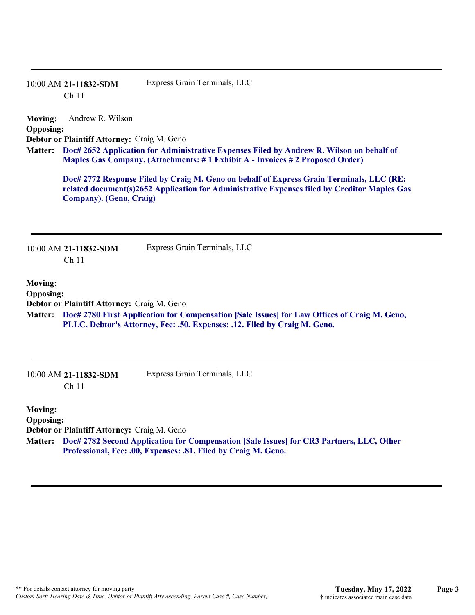| 10:00 AM 21-11832-SDM | Express Grain Terminals, LLC |
|-----------------------|------------------------------|
| -Ch 11                |                              |

**Moving:** Andrew R. Wilson **Opposing: Debtor or Plaintiff Attorney:** Craig M. Geno **Doc# 2652 Application for Administrative Expenses Filed by Andrew R. Wilson on behalf of Matter: Maples Gas Company. (Attachments: # 1 Exhibit A - Invoices # 2 Proposed Order)**

**Doc# 2772 Response Filed by Craig M. Geno on behalf of Express Grain Terminals, LLC (RE: related document(s)2652 Application for Administrative Expenses filed by Creditor Maples Gas Company). (Geno, Craig)**

| 10:00 AM 21-11832-SDM | Express Grain Terminals, LLC |
|-----------------------|------------------------------|
| Ch 11                 |                              |

**Moving: Opposing: Debtor or Plaintiff Attorney:** Craig M. Geno **Doc# 2780 First Application for Compensation [Sale Issues] for Law Offices of Craig M. Geno, Matter: PLLC, Debtor's Attorney, Fee: .50, Expenses: .12. Filed by Craig M. Geno.**

10:00 AM **21-11832-SDM**  Ch 11

Express Grain Terminals, LLC

**Moving: Opposing:**

**Debtor or Plaintiff Attorney:** Craig M. Geno

**Doc# 2782 Second Application for Compensation [Sale Issues] for CR3 Partners, LLC, Other Matter: Professional, Fee: .00, Expenses: .81. Filed by Craig M. Geno.**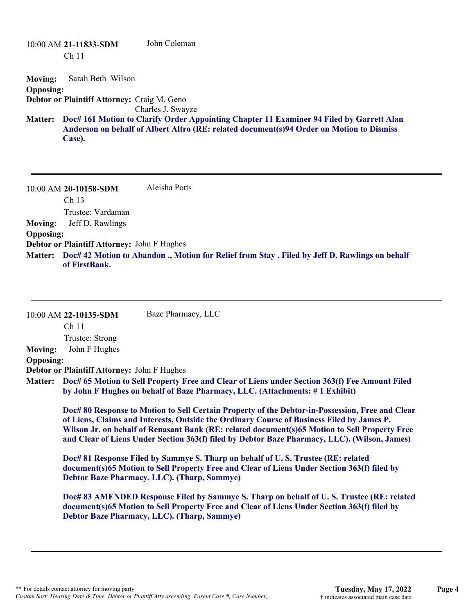| 10:00 AM 21-11833-SDM                       | John Coleman           |
|---------------------------------------------|------------------------|
| Ch <sub>11</sub>                            |                        |
|                                             |                        |
| <b>Moving:</b> Sarah Beth Wilson            |                        |
| <b>Opposing:</b>                            |                        |
| Debtor or Plaintiff Attorney: Craig M. Geno |                        |
|                                             | $\sim$ 1 $\sim$ $\sim$ |

Charles J. Swayze

**Doc# 161 Motion to Clarify Order Appointing Chapter 11 Examiner 94 Filed by Garrett Alan Matter: Anderson on behalf of Albert Altro (RE: related document(s)94 Order on Motion to Dismiss Case).**

10:00 AM **20-10158-SDM**  Ch 13 Trustee: Vardaman Aleisha Potts **Moving:** Jeff D. Rawlings **Opposing: Debtor or Plaintiff Attorney:** John F Hughes **Doc# 42 Motion to Abandon ., Motion for Relief from Stay . Filed by Jeff D. Rawlings on behalf Matter: of FirstBank.**

|                  | 10:00 AM 22-10135-SDM                                                                                                                                                                                                                                                                                                                                                                         | Baze Pharmacy, LLC                                                                                                                                                                                                                            |  |  |
|------------------|-----------------------------------------------------------------------------------------------------------------------------------------------------------------------------------------------------------------------------------------------------------------------------------------------------------------------------------------------------------------------------------------------|-----------------------------------------------------------------------------------------------------------------------------------------------------------------------------------------------------------------------------------------------|--|--|
|                  | Ch <sub>11</sub>                                                                                                                                                                                                                                                                                                                                                                              |                                                                                                                                                                                                                                               |  |  |
|                  | Trustee: Strong                                                                                                                                                                                                                                                                                                                                                                               |                                                                                                                                                                                                                                               |  |  |
| <b>Moving:</b>   | John F Hughes                                                                                                                                                                                                                                                                                                                                                                                 |                                                                                                                                                                                                                                               |  |  |
| <b>Opposing:</b> |                                                                                                                                                                                                                                                                                                                                                                                               |                                                                                                                                                                                                                                               |  |  |
|                  | Debtor or Plaintiff Attorney: John F Hughes                                                                                                                                                                                                                                                                                                                                                   |                                                                                                                                                                                                                                               |  |  |
| <b>Matter:</b>   |                                                                                                                                                                                                                                                                                                                                                                                               | Doc# 65 Motion to Sell Property Free and Clear of Liens under Section 363(f) Fee Amount Filed<br>by John F Hughes on behalf of Baze Pharmacy, LLC. (Attachments: #1 Exhibit)                                                                  |  |  |
|                  | Doc# 80 Response to Motion to Sell Certain Property of the Debtor-in-Possession, Free and Clear<br>of Liens, Claims and Interests, Outside the Ordinary Course of Business Filed by James P.<br>Wilson Jr. on behalf of Renasant Bank (RE: related document(s)65 Motion to Sell Property Free<br>and Clear of Liens Under Section 363(f) filed by Debtor Baze Pharmacy, LLC). (Wilson, James) |                                                                                                                                                                                                                                               |  |  |
|                  |                                                                                                                                                                                                                                                                                                                                                                                               | Doc# 81 Response Filed by Sammye S. Tharp on behalf of U.S. Trustee (RE: related<br>document(s)65 Motion to Sell Property Free and Clear of Liens Under Section 363(f) filed by<br><b>Debtor Baze Pharmacy, LLC). (Tharp, Sammye)</b>         |  |  |
|                  |                                                                                                                                                                                                                                                                                                                                                                                               | Doc# 83 AMENDED Response Filed by Sammye S. Tharp on behalf of U.S. Trustee (RE: related<br>document(s)65 Motion to Sell Property Free and Clear of Liens Under Section 363(f) filed by<br><b>Debtor Baze Pharmacy, LLC). (Tharp, Sammye)</b> |  |  |